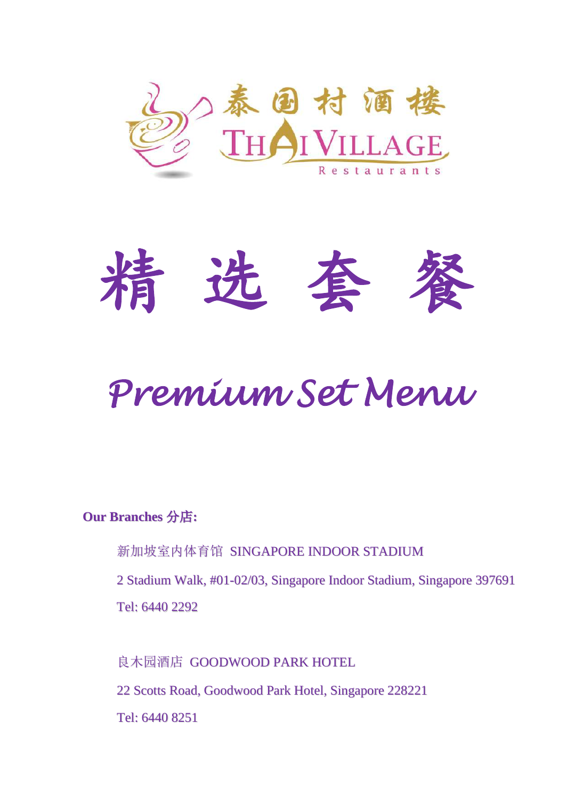



# *Premium Set Menu*

#### **Our Branches** 分店**:**

新加坡室内体育馆 SINGAPORE INDOOR STADIUM

2 Stadium Walk, #01-02/03, Singapore Indoor Stadium, Singapore 397691 Tel: 6440 2292

良木园酒店 GOODWOOD PARK HOTEL 22 Scotts Road, Goodwood Park Hotel, Singapore 228221 Tel: 6440 8251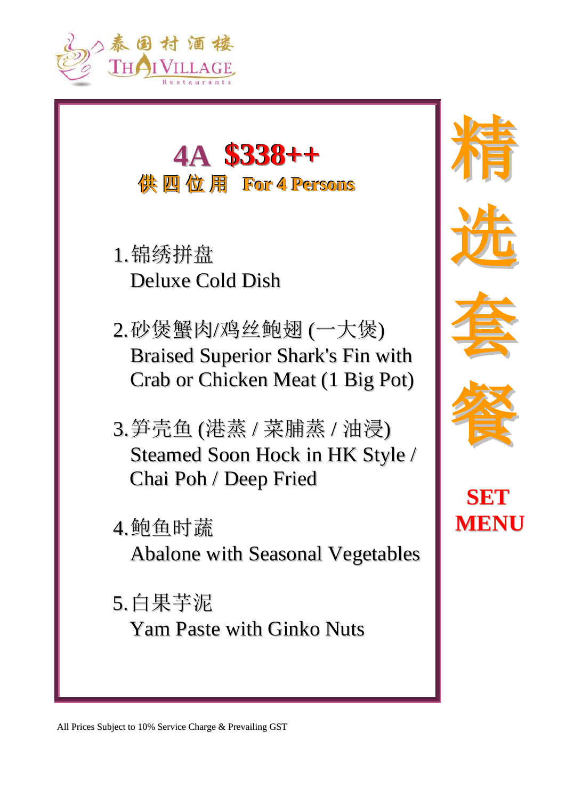



- 1.锦绣拼盘 Deluxe Cold Dish
- 2.砂煲蟹肉/鸡丝鲍翅 (一大煲) Braised Superior Shark's Fin with Crab or Chicken Meat (1 Big Pot)
- 3.笋壳鱼 (港蒸 / 菜脯蒸 / 油浸) Steamed Soon Hock in HK Style / Chai Poh / Deep Fried
- 4.鲍鱼时蔬

Abalone with Seasonal Vegetables

5.白果芋泥 Yam Paste with Ginko Nuts









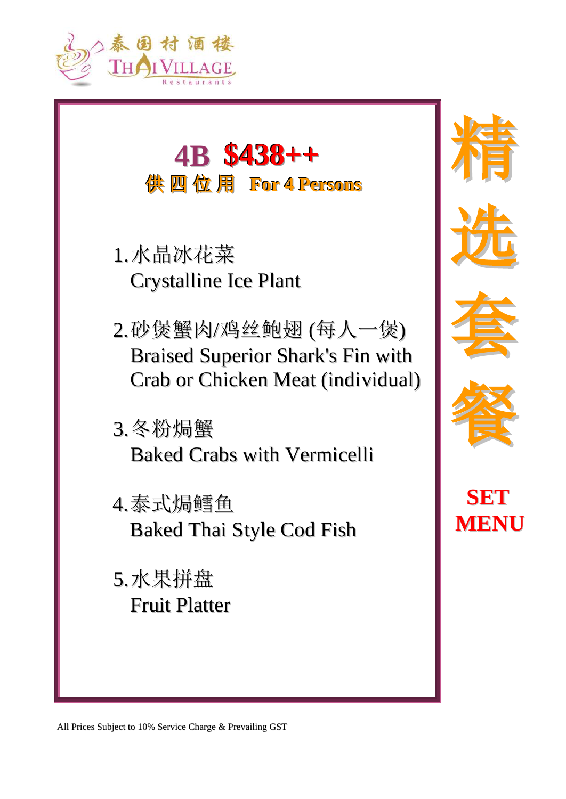



- 1.水晶冰花菜 Crystalline Ice Plant
- 2.砂煲蟹肉/鸡丝鲍翅 (每人一煲) Braised Superior Shark's Fin with Crab or Chicken Meat (individual)
- 3.冬粉焗蟹 Baked Crabs with Vermicelli
- 4.泰式焗鳕鱼 Baked Thai Style Cod Fish
- 5.水果拼盘 Fruit Platter









**SET MENU**

All Prices Subject to 10% Service Charge & Prevailing GST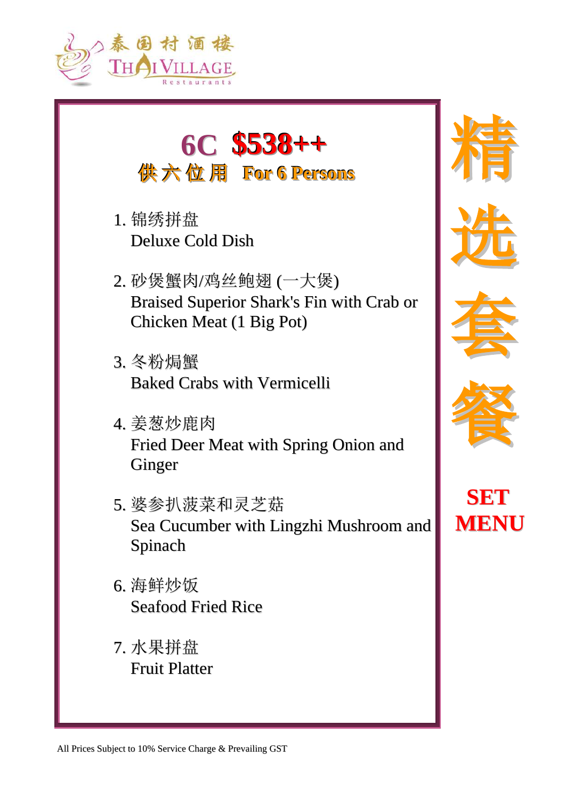



- 1. 锦绣拼盘 Deluxe Cold Dish
- 2. 砂煲蟹肉/鸡丝鲍翅 (一大煲) Braised Superior Shark's Fin with Crab or Chicken Meat (1 Big Pot)
- 3. 冬粉焗蟹 Baked Crabs with Vermicelli
- 4. 姜葱炒鹿肉 Fried Deer Meat with Spring Onion and Ginger
- 5. 婆参扒菠菜和灵芝菇 Sea Cucumber with Lingzhi Mushroom and Spinach
- 6. 海鲜炒饭 Seafood Fried Rice
- 7. 水果拼盘 Fruit Platter









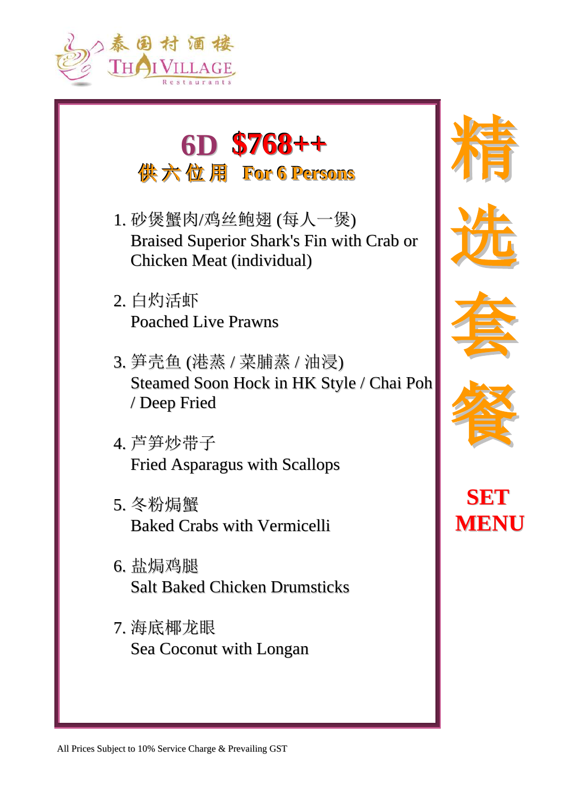



- 1. 砂煲蟹肉/鸡丝鲍翅 (每人一煲) Braised Superior Shark's Fin with Crab or Chicken Meat (individual)
- 2. 白灼活虾 Poached Live Prawns
- 3. 笋壳鱼 (港蒸 / 菜脯蒸 / 油浸) Steamed Soon Hock in HK Style / Chai Poh / Deep Fried
- 4. 芦笋炒带子 Fried Asparagus with Scallops
- 5. 冬粉焗蟹 Baked Crabs with Vermicelli
- 6. 盐焗鸡腿 Salt Baked Chicken Drumsticks
- 7. 海底椰龙眼 Sea Coconut with Longan









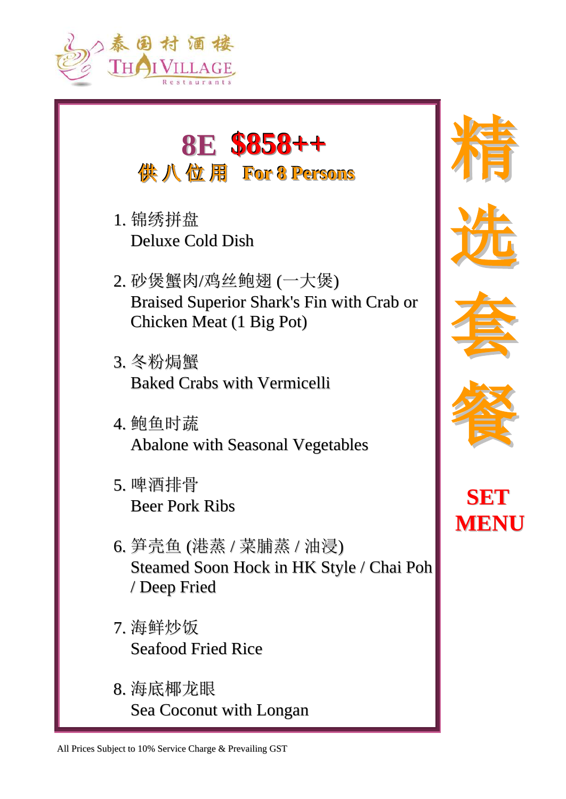

### **8E \$858++ 供八位用 For 8 Persons**

- 1. 锦绣拼盘 Deluxe Cold Dish
- 2. 砂煲蟹肉/鸡丝鲍翅 (一大煲) Braised Superior Shark's Fin with Crab or Chicken Meat (1 Big Pot)
- 3. 冬粉焗蟹 Baked Crabs with Vermicelli
- 4. 鲍鱼时蔬 Abalone with Seasonal Vegetables
- 5. 啤酒排骨 Beer Pork Ribs
- 6. 笋壳鱼 (港蒸 / 菜脯蒸 / 油浸) Steamed Soon Hock in HK Style / Chai Poh / Deep Fried
- 7. 海鲜炒饭 Seafood Fried Rice
- 8. 海底椰龙眼 Sea Coconut with Longan











All Prices Subject to 10% Service Charge & Prevailing GST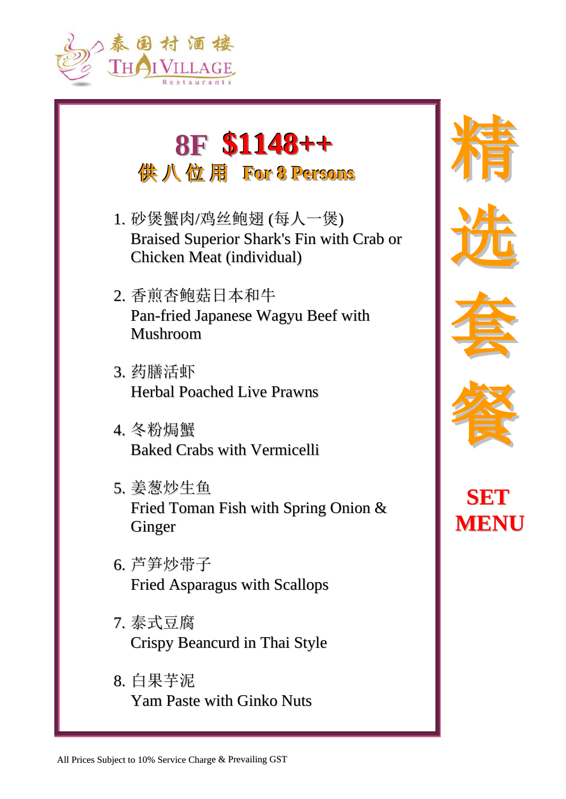

# **8F \$1148++ 供八位用 For 8 Persons**

- 1. 砂煲蟹肉/鸡丝鲍翅 (每人一煲) Braised Superior Shark's Fin with Crab or Chicken Meat (individual)
- 2. 香煎杏鲍菇日本和牛 Pan-fried Japanese Wagyu Beef with Mushroom
- 3. 药膳活虾 Herbal Poached Live Prawns
- 4. 冬粉焗蟹 Baked Crabs with Vermicelli
- 5. 姜葱炒生鱼 Fried Toman Fish with Spring Onion & Ginger
- 6. 芦笋炒带子 Fried Asparagus with Scallops
- 7. 泰式豆腐 Crispy Beancurd in Thai Style
- 8. 白果芋泥 Yam Paste with Ginko Nuts









**SET MENU**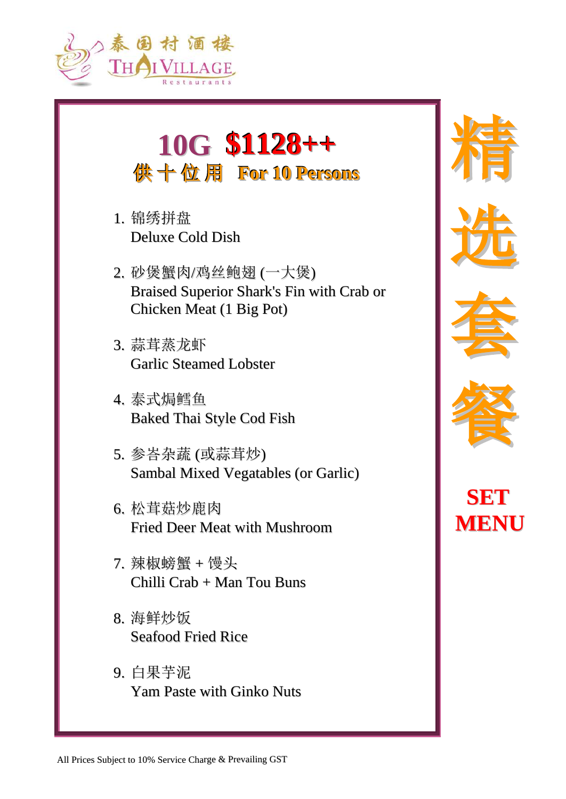

### **10G \$1128++** 供十位用 For 10 Persons

- 1. 锦绣拼盘 Deluxe Cold Dish
- 2. 砂煲蟹肉/鸡丝鲍翅 (一大煲) Braised Superior Shark's Fin with Crab or Chicken Meat (1 Big Pot)
- 3. 蒜茸蒸龙虾 Garlic Steamed Lobster
- 4. 泰式焗鳕鱼 Baked Thai Style Cod Fish
- 5. 参峇杂蔬 (或蒜茸炒) Sambal Mixed Vegatables (or Garlic)
- 6. 松茸菇炒鹿肉 Fried Deer Meat with Mushroom
- 7. 辣椒螃蟹 + 馒头 Chilli Crab + Man Tou Buns
- 8. 海鲜炒饭 Seafood Fried Rice
- 9. 白果芋泥 Yam Paste with Ginko Nuts









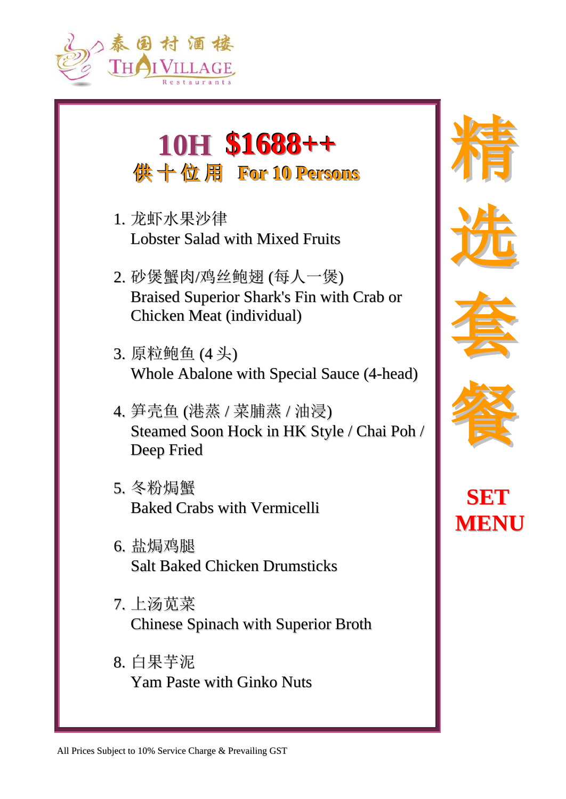

## **10H \$1688++** 供十位用 For 10 Persons

- 1. 龙虾水果沙律 Lobster Salad with Mixed Fruits
- 2. 砂煲蟹肉/鸡丝鲍翅 (每人一煲) Braised Superior Shark's Fin with Crab or Chicken Meat (individual)
- 3. 原粒鲍鱼 (4 头) Whole Abalone with Special Sauce (4-head)
- 4. 笋壳鱼 (港蒸 / 菜脯蒸 / 油浸) Steamed Soon Hock in HK Style / Chai Poh / Deep Fried
- 5. 冬粉焗蟹 Baked Crabs with Vermicelli
- 6. 盐焗鸡腿 Salt Baked Chicken Drumsticks
- 7. 上汤苋菜 Chinese Spinach with Superior Broth
- 8. 白果芋泥 Yam Paste with Ginko Nuts









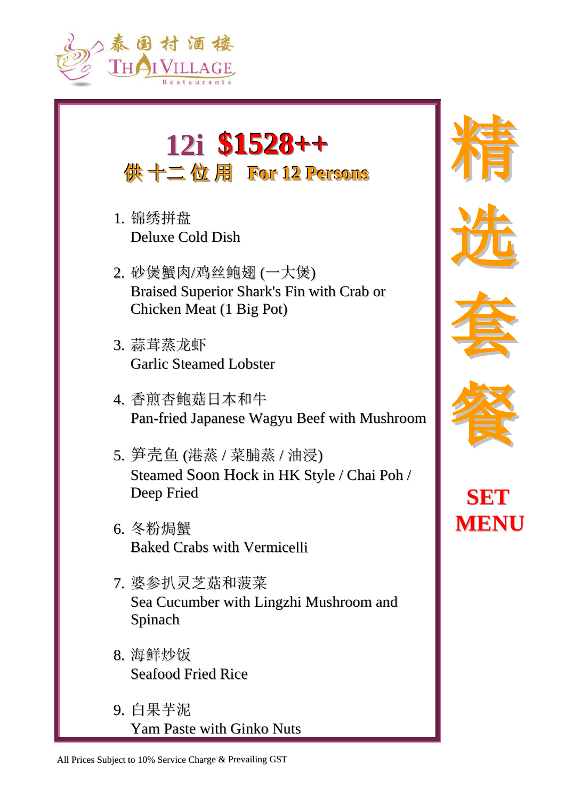

# **12i \$1528++ 供十二位用 For 12 Persons**

- 1. 锦绣拼盘 Deluxe Cold Dish
- 2. 砂煲蟹肉/鸡丝鲍翅 (一大煲) Braised Superior Shark's Fin with Crab or Chicken Meat (1 Big Pot)
- 3. 蒜茸蒸龙虾 Garlic Steamed Lobster
- 4. 香煎杏鲍菇日本和牛 Pan-fried Japanese Wagyu Beef with Mushroom
- 5. 笋壳鱼 (港蒸 / 菜脯蒸 / 油浸) Steamed Soon Hock in HK Style / Chai Poh / Deep Fried
- 6. 冬粉焗蟹 Baked Crabs with Vermicelli
- 7. 婆参扒灵芝菇和菠菜 Sea Cucumber with Lingzhi Mushroom and Spinach
- 8. 海鲜炒饭 Seafood Fried Rice
- 9. 白果芋泥 Yam Paste with Ginko Nuts